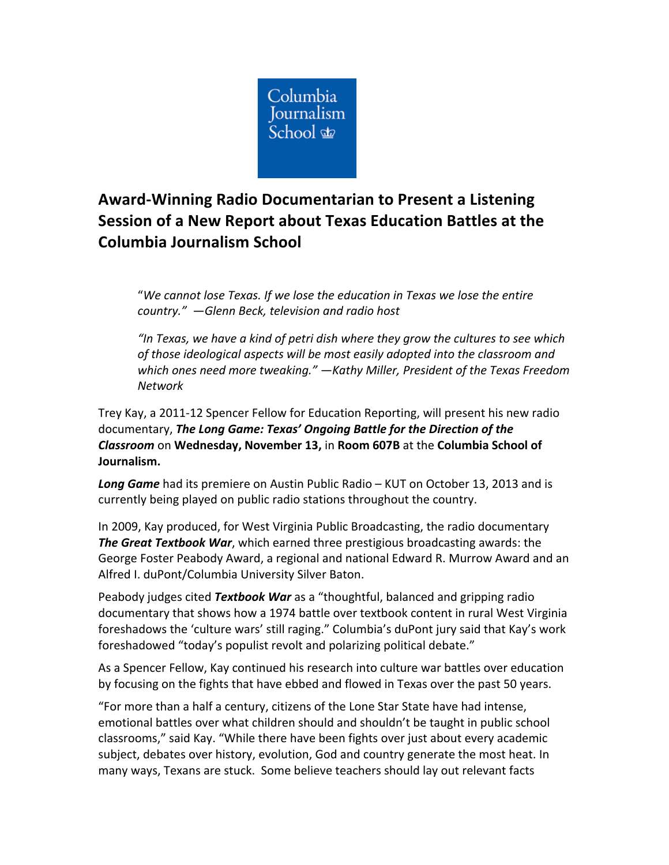

## **Award-Winning Radio Documentarian to Present a Listening Session of a New Report about Texas Education Battles at the** Columbia **Journalism School**

"We cannot lose Texas. If we lose the education in Texas we lose the entire *country." —Glenn Beck, television and radio host*

"In Texas, we have a kind of petri dish where they grow the cultures to see which of those ideological aspects will be most easily adopted into the classroom and which ones need more tweaking." -Kathy Miller, President of the Texas Freedom *Network*

Trey Kay, a 2011-12 Spencer Fellow for Education Reporting, will present his new radio documentary, The Long Game: Texas' Ongoing Battle for the Direction of the *Classroom* on **Wednesday, November 13,** in **Room 607B** at the **Columbia School of Journalism.**

**Long Game** had its premiere on Austin Public Radio – KUT on October 13, 2013 and is currently being played on public radio stations throughout the country.

In 2009, Kay produced, for West Virginia Public Broadcasting, the radio documentary **The Great Textbook War**, which earned three prestigious broadcasting awards: the George Foster Peabody Award, a regional and national Edward R. Murrow Award and an Alfred I. duPont/Columbia University Silver Baton.

Peabody judges cited *Textbook War* as a "thoughtful, balanced and gripping radio documentary that shows how a 1974 battle over textbook content in rural West Virginia foreshadows the 'culture wars' still raging." Columbia's duPont jury said that Kay's work foreshadowed "today's populist revolt and polarizing political debate."

As a Spencer Fellow, Kay continued his research into culture war battles over education by focusing on the fights that have ebbed and flowed in Texas over the past 50 years.

"For more than a half a century, citizens of the Lone Star State have had intense, emotional battles over what children should and shouldn't be taught in public school classrooms," said Kay. "While there have been fights over just about every academic subject, debates over history, evolution, God and country generate the most heat. In many ways, Texans are stuck. Some believe teachers should lay out relevant facts